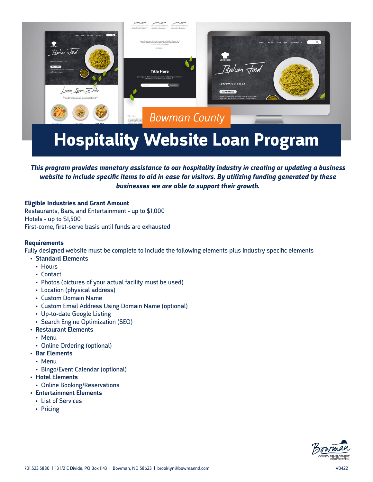

# **Hospitality Website Loan Program**

## *This program provides monetary assistance to our hospitality industry in creating or updating a business website to include specific items to aid in ease for visitors. By utilizing funding generated by these businesses we are able to support their growth.*

**Eligible Industries and Grant Amount** Restaurants, Bars, and Entertainment - up to \$1,000 Hotels - up to \$1,500 First-come, first-serve basis until funds are exhausted

### **Requirements**

Fully designed website must be complete to include the following elements plus industry specific elements

- Standard Elements
	- Hours
	- Contact
	- Photos (pictures of your actual facility must be used)
	- Location (physical address)
	- Custom Domain Name
	- Custom Email Address Using Domain Name (optional)
	- Up-to-date Google Listing
	- Search Engine Optimization (SEO)
- Restaurant Elements
	- Menu
	- Online Ordering (optional)
- Bar Elements
	- Menu
	- Bingo/Event Calendar (optional)
- Hotel Elements
	- Online Booking/Reservations
- Entertainment Elements
	- List of Services
	- Pricing

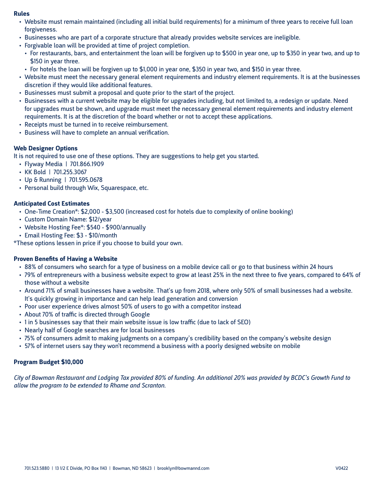#### **Rules**

- Website must remain maintained (including all initial build requirements) for a minimum of three years to receive full loan forgiveness.
- Businesses who are part of a corporate structure that already provides website services are ineligible.
- Forgivable loan will be provided at time of project completion.
	- For restaurants, bars, and entertainment the loan will be forgiven up to \$500 in year one, up to \$350 in year two, and up to \$150 in year three.
- For hotels the loan will be forgiven up to \$1,000 in year one, \$350 in year two, and \$150 in year three.
- Website must meet the necessary general element requirements and industry element requirements. It is at the businesses discretion if they would like additional features.
- Businesses must submit a proposal and quote prior to the start of the project.
- Businesses with a current website may be eligible for upgrades including, but not limited to, a redesign or update. Need for upgrades must be shown, and upgrade must meet the necessary general element requirements and industry element requirements. It is at the discretion of the board whether or not to accept these applications.
- Receipts must be turned in to receive reimbursement.
- Business will have to complete an annual verification.

### **Web Designer Options**

It is not required to use one of these options. They are suggestions to help get you started.

- Flyway Media | 701.866.1909
- KK Bold | 701.255.3067
- Up & Running | 701.595.0678
- Personal build through Wix, Squarespace, etc.

### **Anticipated Cost Estimates**

- One-Time Creation\*: \$2,000 \$3,500 (increased cost for hotels due to complexity of online booking)
- Custom Domain Name: \$12/year
- Website Hosting Fee\*: \$540 \$900/annually
- Email Hosting Fee: \$3 \$10/month

\*These options lessen in price if you choose to build your own.

### **Proven Benefits of Having a Website**

- 88% of consumers who search for a type of business on a mobile device call or go to that business within 24 hours
- 79% of entrepreneurs with a business website expect to grow at least 25% in the next three to five years, compared to 64% of those without a website
- Around 71% of small businesses have a website. That's up from 2018, where only 50% of small businesses had a website. It's quickly growing in importance and can help lead generation and conversion
- Poor user experience drives almost 50% of users to go with a competitor instead
- About 70% of traffic is directed through Google
- 1 in 5 businesses say that their main website issue is low traffic (due to lack of SEO)
- Nearly half of Google searches are for local businesses
- 75% of consumers admit to making judgments on a company's credibility based on the company's website design
- 57% of internet users say they won't recommend a business with a poorly designed website on mobile

### **Program Budget \$10,000**

*City of Bowman Restaurant and Lodging Tax provided 80% of funding. An additional 20% was provided by BCDC's Growth Fund to allow the program to be extended to Rhame and Scranton.*